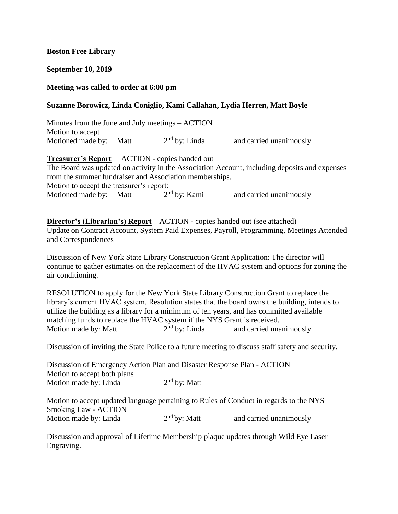## **Boston Free Library**

### **September 10, 2019**

### **Meeting was called to order at 6:00 pm**

### **Suzanne Borowicz, Linda Coniglio, Kami Callahan, Lydia Herren, Matt Boyle**

| Minutes from the June and July meetings – ACTION |                 |                         |
|--------------------------------------------------|-----------------|-------------------------|
| Motion to accept                                 |                 |                         |
| Motioned made by: Matt                           | $2nd$ by: Linda | and carried unanimously |

## **Treasurer's Report** – ACTION - copies handed out

The Board was updated on activity in the Association Account, including deposits and expenses from the summer fundraiser and Association memberships. Motion to accept the treasurer's report:<br>Motioned made by: Matt 2<sup>nd</sup> by: Kami Motioned made by: Matt and carried unanimously

**Director's (Librarian's) Report** – ACTION - copies handed out (see attached)

Update on Contract Account, System Paid Expenses, Payroll, Programming, Meetings Attended and Correspondences

Discussion of New York State Library Construction Grant Application: The director will continue to gather estimates on the replacement of the HVAC system and options for zoning the air conditioning.

RESOLUTION to apply for the New York State Library Construction Grant to replace the library's current HVAC system. Resolution states that the board owns the building, intends to utilize the building as a library for a minimum of ten years, and has committed available matching funds to replace the HVAC system if the NYS Grant is received. Motion made by: Matt  $2<sup>nd</sup>$  by: Linda and carried unanimously

Discussion of inviting the State Police to a future meeting to discuss staff safety and security.

Discussion of Emergency Action Plan and Disaster Response Plan - ACTION Motion to accept both plans Motion made by: Linda  $2<sup>nd</sup>$  by: Matt

Motion to accept updated language pertaining to Rules of Conduct in regards to the NYS Smoking Law - ACTION Motion made by: Linda  $2<sup>nd</sup>$  by: Matt and carried unanimously

Discussion and approval of Lifetime Membership plaque updates through Wild Eye Laser Engraving.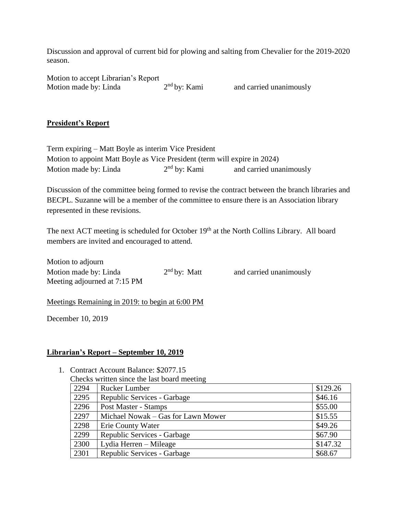Discussion and approval of current bid for plowing and salting from Chevalier for the 2019-2020 season.

Motion to accept Librarian's Report Motion made by: Linda  $2<sup>nd</sup>$  by: Kami

and carried unanimously

# **President's Report**

| Term expiring – Matt Boyle as interim Vice President                      |                |                         |
|---------------------------------------------------------------------------|----------------|-------------------------|
| Motion to appoint Matt Boyle as Vice President (term will expire in 2024) |                |                         |
| Motion made by: Linda                                                     | $2nd$ by: Kami | and carried unanimously |

Discussion of the committee being formed to revise the contract between the branch libraries and BECPL. Suzanne will be a member of the committee to ensure there is an Association library represented in these revisions.

The next ACT meeting is scheduled for October 19<sup>th</sup> at the North Collins Library. All board members are invited and encouraged to attend.

Motion to adjourn Motion made by: Linda  $2<sup>nd</sup>$  by: Matt Meeting adjourned at 7:15 PM

and carried unanimously

Meetings Remaining in 2019: to begin at 6:00 PM

December 10, 2019

## **Librarian's Report – September 10, 2019**

1. Contract Account Balance: \$2077.15

| 2294 | <b>Rucker Lumber</b>               | \$129.26 |
|------|------------------------------------|----------|
| 2295 | Republic Services - Garbage        | \$46.16  |
| 2296 | Post Master - Stamps               | \$55.00  |
| 2297 | Michael Nowak – Gas for Lawn Mower | \$15.55  |
| 2298 | Erie County Water                  | \$49.26  |
| 2299 | Republic Services - Garbage        | \$67.90  |
| 2300 | Lydia Herren – Mileage             | \$147.32 |
| 2301 | Republic Services - Garbage        | \$68.67  |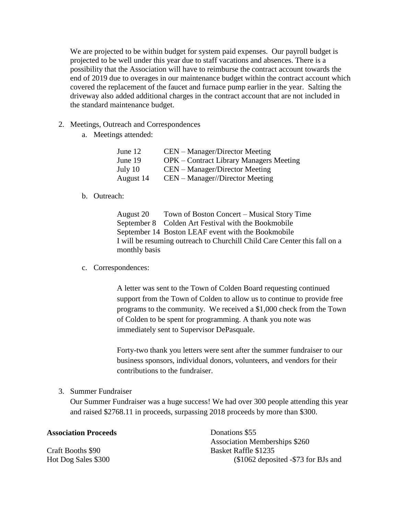We are projected to be within budget for system paid expenses. Our payroll budget is projected to be well under this year due to staff vacations and absences. There is a possibility that the Association will have to reimburse the contract account towards the end of 2019 due to overages in our maintenance budget within the contract account which covered the replacement of the faucet and furnace pump earlier in the year. Salting the driveway also added additional charges in the contract account that are not included in the standard maintenance budget.

- 2. Meetings, Outreach and Correspondences
	- a. Meetings attended:

| June 12   | CEN – Manager/Director Meeting          |
|-----------|-----------------------------------------|
| June 19   | OPK – Contract Library Managers Meeting |
| July 10   | CEN – Manager/Director Meeting          |
| August 14 | $CEN - Manager//Directory Meeting$      |

b. Outreach:

August 20 Town of Boston Concert – Musical Story Time September 8 Colden Art Festival with the Bookmobile September 14 Boston LEAF event with the Bookmobile I will be resuming outreach to Churchill Child Care Center this fall on a monthly basis

c. Correspondences:

A letter was sent to the Town of Colden Board requesting continued support from the Town of Colden to allow us to continue to provide free programs to the community. We received a \$1,000 check from the Town of Colden to be spent for programming. A thank you note was immediately sent to Supervisor DePasquale.

Forty-two thank you letters were sent after the summer fundraiser to our business sponsors, individual donors, volunteers, and vendors for their contributions to the fundraiser.

3. Summer Fundraiser

Our Summer Fundraiser was a huge success! We had over 300 people attending this year and raised \$2768.11 in proceeds, surpassing 2018 proceeds by more than \$300.

### **Association Proceeds**

Craft Booths \$90 Hot Dog Sales \$300 Donations \$55 Association Memberships \$260 Basket Raffle \$1235 (\$1062 deposited -\$73 for BJs and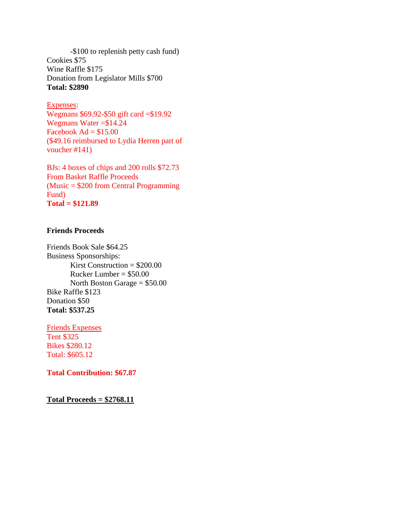-\$100 to replenish petty cash fund) Cookies \$75 Wine Raffle \$175 Donation from Legislator Mills \$700 **Total: \$2890**

#### Expenses:

Wegmans \$69.92-\$50 gift card =\$19.92 Wegmans Water =\$14.24 Facebook  $Ad = $15.00$ (\$49.16 reimbursed to Lydia Herren part of voucher #141)

BJs: 4 boxes of chips and 200 rolls \$72.73 From Basket Raffle Proceeds (Music = \$200 from Central Programming Fund) **Total = \$121.89**

## **Friends Proceeds**

Friends Book Sale \$64.25 Business Sponsorships: Kirst Construction  $= $200.00$ Rucker Lumber = \$50.00 North Boston Garage = \$50.00 Bike Raffle \$123 Donation \$50 **Total: \$537.25**

Friends Expenses Tent \$325 Bikes \$280.12 Total: \$605.12

#### **Total Contribution: \$67.87**

**Total Proceeds = \$2768.11**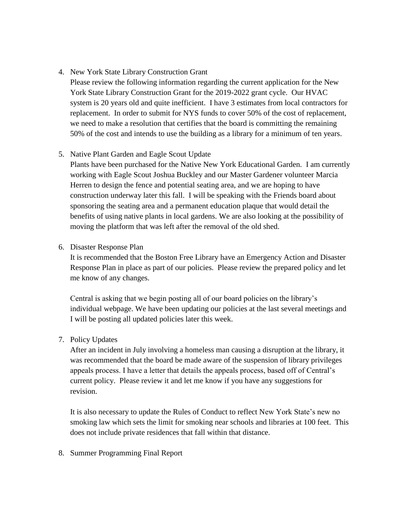## 4. New York State Library Construction Grant

Please review the following information regarding the current application for the New York State Library Construction Grant for the 2019-2022 grant cycle. Our HVAC system is 20 years old and quite inefficient. I have 3 estimates from local contractors for replacement. In order to submit for NYS funds to cover 50% of the cost of replacement, we need to make a resolution that certifies that the board is committing the remaining 50% of the cost and intends to use the building as a library for a minimum of ten years.

# 5. Native Plant Garden and Eagle Scout Update

Plants have been purchased for the Native New York Educational Garden. I am currently working with Eagle Scout Joshua Buckley and our Master Gardener volunteer Marcia Herren to design the fence and potential seating area, and we are hoping to have construction underway later this fall. I will be speaking with the Friends board about sponsoring the seating area and a permanent education plaque that would detail the benefits of using native plants in local gardens. We are also looking at the possibility of moving the platform that was left after the removal of the old shed.

## 6. Disaster Response Plan

It is recommended that the Boston Free Library have an Emergency Action and Disaster Response Plan in place as part of our policies. Please review the prepared policy and let me know of any changes.

Central is asking that we begin posting all of our board policies on the library's individual webpage. We have been updating our policies at the last several meetings and I will be posting all updated policies later this week.

## 7. Policy Updates

After an incident in July involving a homeless man causing a disruption at the library, it was recommended that the board be made aware of the suspension of library privileges appeals process. I have a letter that details the appeals process, based off of Central's current policy. Please review it and let me know if you have any suggestions for revision.

It is also necessary to update the Rules of Conduct to reflect New York State's new no smoking law which sets the limit for smoking near schools and libraries at 100 feet. This does not include private residences that fall within that distance.

## 8. Summer Programming Final Report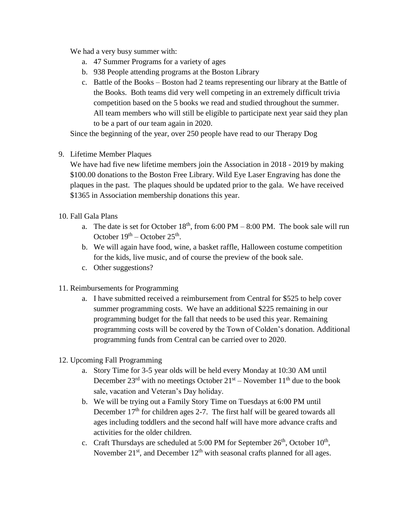We had a very busy summer with:

- a. 47 Summer Programs for a variety of ages
- b. 938 People attending programs at the Boston Library
- c. Battle of the Books Boston had 2 teams representing our library at the Battle of the Books. Both teams did very well competing in an extremely difficult trivia competition based on the 5 books we read and studied throughout the summer. All team members who will still be eligible to participate next year said they plan to be a part of our team again in 2020.

Since the beginning of the year, over 250 people have read to our Therapy Dog

9. Lifetime Member Plaques

We have had five new lifetime members join the Association in 2018 - 2019 by making \$100.00 donations to the Boston Free Library. Wild Eye Laser Engraving has done the plaques in the past. The plaques should be updated prior to the gala. We have received \$1365 in Association membership donations this year.

- 10. Fall Gala Plans
	- a. The date is set for October  $18<sup>th</sup>$ , from 6:00 PM 8:00 PM. The book sale will run October  $19<sup>th</sup>$  – October  $25<sup>th</sup>$ .
	- b. We will again have food, wine, a basket raffle, Halloween costume competition for the kids, live music, and of course the preview of the book sale.
	- c. Other suggestions?
- 11. Reimbursements for Programming
	- a. I have submitted received a reimbursement from Central for \$525 to help cover summer programming costs. We have an additional \$225 remaining in our programming budget for the fall that needs to be used this year. Remaining programming costs will be covered by the Town of Colden's donation. Additional programming funds from Central can be carried over to 2020.
- 12. Upcoming Fall Programming
	- a. Story Time for 3-5 year olds will be held every Monday at 10:30 AM until December  $23<sup>rd</sup>$  with no meetings October  $21<sup>st</sup>$  – November  $11<sup>th</sup>$  due to the book sale, vacation and Veteran's Day holiday.
	- b. We will be trying out a Family Story Time on Tuesdays at 6:00 PM until December  $17<sup>th</sup>$  for children ages 2-7. The first half will be geared towards all ages including toddlers and the second half will have more advance crafts and activities for the older children.
	- c. Craft Thursdays are scheduled at 5:00 PM for September  $26<sup>th</sup>$ , October  $10<sup>th</sup>$ , November  $21<sup>st</sup>$ , and December  $12<sup>th</sup>$  with seasonal crafts planned for all ages.